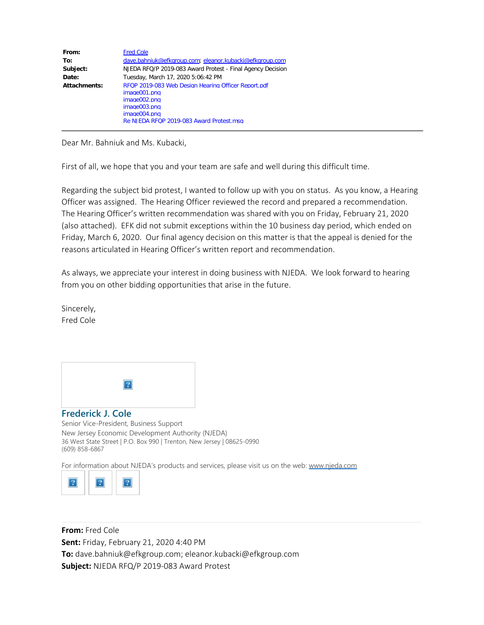| From:        | <b>Fred Cole</b>                                                                                                                                                |
|--------------|-----------------------------------------------------------------------------------------------------------------------------------------------------------------|
| To:          | dave.bahniuk@efkgroup.com; eleanor.kubacki@efkgroup.com                                                                                                         |
| Subject:     | NJEDA RFQ/P 2019-083 Award Protest - Final Agency Decision                                                                                                      |
| Date:        | Tuesday, March 17, 2020 5:06:42 PM                                                                                                                              |
| Attachments: | RFQP 2019-083 Web Design Hearing Officer Report.pdf<br>image001.png<br>image002.png<br>image003.png<br>image004.png<br>Re NJEDA RFQP 2019-083 Award Protest.msg |

Dear Mr. Bahniuk and Ms. Kubacki,

First of all, we hope that you and your team are safe and well during this difficult time.

Regarding the subject bid protest, I wanted to follow up with you on status. As you know, a Hearing Officer was assigned. The Hearing Officer reviewed the record and prepared a recommendation. The Hearing Officer's written recommendation was shared with you on Friday, February 21, 2020 (also attached). EFK did not submit exceptions within the 10 business day period, which ended on Friday, March 6, 2020. Our final agency decision on this matter is that the appeal is denied for the reasons articulated in Hearing Officer's written report and recommendation.

As always, we appreciate your interest in doing business with NJEDA. We look forward to hearing from you on other bidding opportunities that arise in the future.

Sincerely, Fred Cole



## **Frederick J. Cole**

Senior Vice-President, Business Support New Jersey Economic Development Authority (NJEDA) 36 West State Street | P.O. Box 990 | Trenton, New Jersey | 08625-0990 (609) 858-6867

For information about NJEDA's products and services, please visit us on the web: [www.njeda.com](http://www.njeda.com/?utm_source=NJEDA%20website&utm_medium=Email&utm_campaign=Signature)



**From:** Fred Cole **Sent:** Friday, February 21, 2020 4:40 PM **To:** dave.bahniuk@efkgroup.com; eleanor.kubacki@efkgroup.com **Subject:** NJEDA RFQ/P 2019-083 Award Protest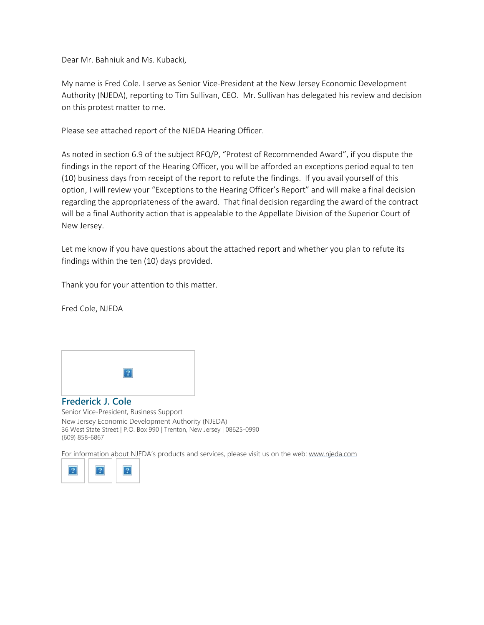Dear Mr. Bahniuk and Ms. Kubacki,

My name is Fred Cole. I serve as Senior Vice-President at the New Jersey Economic Development Authority (NJEDA), reporting to Tim Sullivan, CEO. Mr. Sullivan has delegated his review and decision on this protest matter to me.

Please see attached report of the NJEDA Hearing Officer.

As noted in section 6.9 of the subject RFQ/P, "Protest of Recommended Award", if you dispute the findings in the report of the Hearing Officer, you will be afforded an exceptions period equal to ten (10) business days from receipt of the report to refute the findings. If you avail yourself of this option, I will review your "Exceptions to the Hearing Officer's Report" and will make a final decision regarding the appropriateness of the award. That final decision regarding the award of the contract will be a final Authority action that is appealable to the Appellate Division of the Superior Court of New Jersey.

Let me know if you have questions about the attached report and whether you plan to refute its findings within the ten (10) days provided.

Thank you for your attention to this matter.

Fred Cole, NJEDA



#### **Frederick J. Cole**

Senior Vice-President, Business Support New Jersey Economic Development Authority (NJEDA) 36 West State Street | P.O. Box 990 | Trenton, New Jersey | 08625-0990 (609) 858-6867

For information about NJEDA's products and services, please visit us on the web: [www.njeda.com](http://www.njeda.com/?utm_source=NJEDA%20website&utm_medium=Email&utm_campaign=Signature)

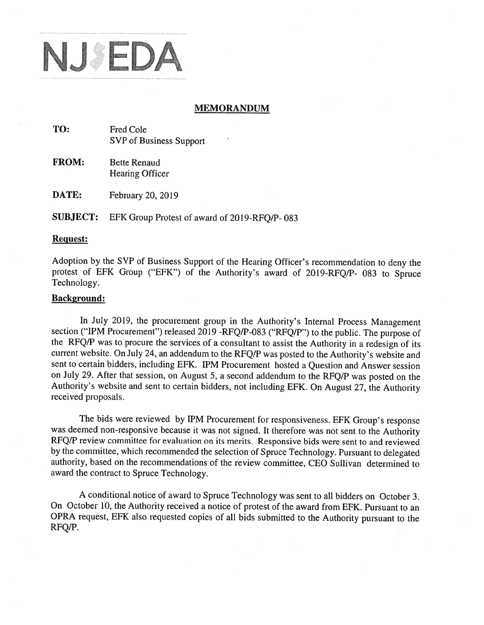

### **MEMORANDUM**

- TO: Fred Cole SVP of Business Support
- **FROM: Bette Renaud** Hearing Officer

DATE: February 20, 2019

**SUBJECT:** EFK Group Protest of award of 2019-RFO/P-083

## **Request:**

Adoption by the SVP of Business Support of the Hearing Officer's recommendation to deny the protest of EFK Group ("EFK") of the Authority's award of 2019-RFQ/P- 083 to Spruce Technology.

#### **Background:**

In July 2019, the procurement group in the Authority's Internal Process Management section ("IPM Procurement") released 2019 -RFQ/P-083 ("RFQ/P") to the public. The purpose of the RFQ/P was to procure the services of a consultant to assist the Authority in a redesign of its current website. On July 24, an addendum to the RFQ/P was posted to the Authority's website and sent to certain bidders, including EFK. IPM Procurement hosted a Question and Answer session on July 29. After that session, on August 5, a second addendum to the RFQ/P was posted on the Authority's website and sent to certain bidders, not including EFK. On August 27, the Authority received proposals.

The bids were reviewed by IPM Procurement for responsiveness. EFK Group's response was deemed non-responsive because it was not signed. It therefore was not sent to the Authority RFQ/P review committee for evaluation on its merits. Responsive bids were sent to and reviewed by the committee, which recommended the selection of Spruce Technology. Pursuant to delegated authority, based on the recommendations of the review committee, CEO Sullivan determined to award the contract to Spruce Technology.

A conditional notice of award to Spruce Technology was sent to all bidders on October 3. On October 10, the Authority received a notice of protest of the award from EFK. Pursuant to an OPRA request, EFK also requested copies of all bids submitted to the Authority pursuant to the RFQ/P.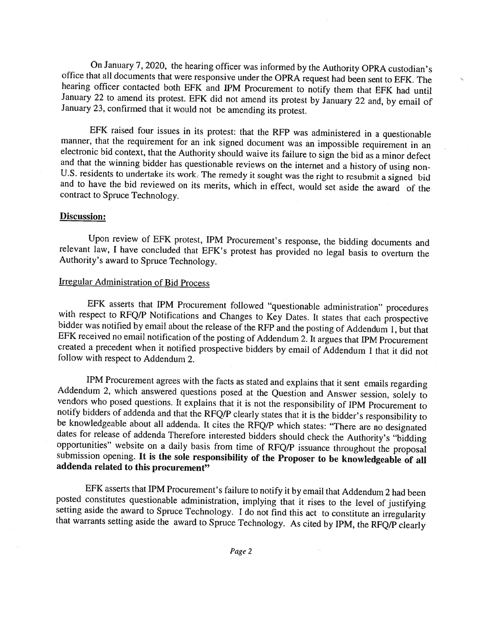On January 7, 2020, the hearing officer was informed by the Authority OPRA custodian's office that all documents that were responsive under the OPRA request had been sent to EFK. The hearing officer contacted both EFK and IPM Procurement to notify them that EFK had until January 22 to amend its protest. EFK did not amend its protest by January 22 and, by email of January 23, confirmed that it would not be amending its protest.

EFK raised four issues in its protest: that the RFP was administered in a questionable manner, that the requirement for an ink signed document was an impossible requirement in an electronic bid context, that the Authority should waive its failure to sign the bid as a minor defect and that the winning bidder has questionable reviews on the internet and a history of using non-U.S. residents to undertake its work. The remedy it sought was the right to resubmit a signed bid and to have the bid reviewed on its merits, which in effect, would set aside the award of the contract to Spruce Technology.

#### **Discussion:**

Upon review of EFK protest, IPM Procurement's response, the bidding documents and relevant law, I have concluded that EFK's protest has provided no legal basis to overturn the Authority's award to Spruce Technology.

# **Irregular Administration of Bid Process**

EFK asserts that IPM Procurement followed "questionable administration" procedures with respect to RFQ/P Notifications and Changes to Key Dates. It states that each prospective bidder was notified by email about the release of the RFP and the posting of Addendum 1, but that EFK received no email notification of the posting of Addendum 2. It argues that IPM Procurement created a precedent when it notified prospective bidders by email of Addendum 1 that it did not follow with respect to Addendum 2.

IPM Procurement agrees with the facts as stated and explains that it sent emails regarding Addendum 2, which answered questions posed at the Question and Answer session, solely to vendors who posed questions. It explains that it is not the responsibility of IPM Procurement to notify bidders of addenda and that the RFQ/P clearly states that it is the bidder's responsibility to be knowledgeable about all addenda. It cites the RFQ/P which states: "There are no designated dates for release of addenda Therefore interested bidders should check the Authority's "bidding opportunities" website on a daily basis from time of RFQ/P issuance throughout the proposal submission opening. It is the sole responsibility of the Proposer to be knowledgeable of all addenda related to this procurement"

EFK asserts that IPM Procurement's failure to notify it by email that Addendum 2 had been posted constitutes questionable administration, implying that it rises to the level of justifying setting aside the award to Spruce Technology. I do not find this act to constitute an irregularity that warrants setting aside the award to Spruce Technology. As cited by IPM, the RFQ/P clearly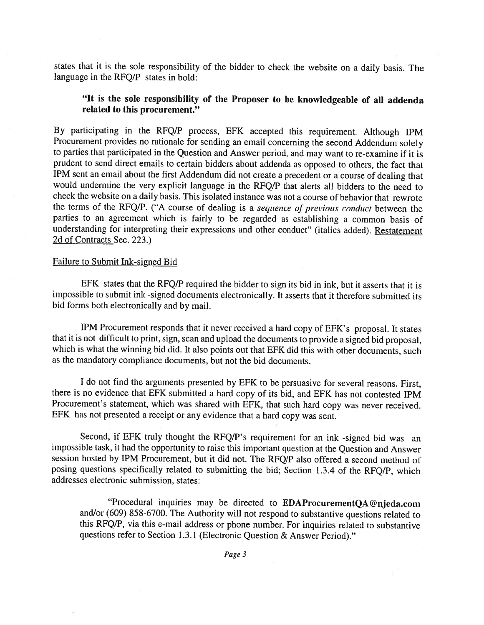states that it is the sole responsibility of the bidder to check the website on a daily basis. The language in the RFO/P states in bold:

# "It is the sole responsibility of the Proposer to be knowledgeable of all addenda related to this procurement."

By participating in the RFQ/P process, EFK accepted this requirement. Although IPM Procurement provides no rationale for sending an email concerning the second Addendum solely to parties that participated in the Question and Answer period, and may want to re-examine if it is prudent to send direct emails to certain bidders about addenda as opposed to others, the fact that IPM sent an email about the first Addendum did not create a precedent or a course of dealing that would undermine the very explicit language in the RFQ/P that alerts all bidders to the need to check the website on a daily basis. This isolated instance was not a course of behavior that rewrote the terms of the RFQ/P. ("A course of dealing is a sequence of previous conduct between the parties to an agreement which is fairly to be regarded as establishing a common basis of understanding for interpreting their expressions and other conduct" (italics added). Restatement 2d of Contracts Sec. 223.)

## Failure to Submit Ink-signed Bid

EFK states that the RFQ/P required the bidder to sign its bid in ink, but it asserts that it is impossible to submit ink-signed documents electronically. It asserts that it therefore submitted its bid forms both electronically and by mail.

IPM Procurement responds that it never received a hard copy of EFK's proposal. It states that it is not difficult to print, sign, scan and upload the documents to provide a signed bid proposal, which is what the winning bid did. It also points out that EFK did this with other documents, such as the mandatory compliance documents, but not the bid documents.

I do not find the arguments presented by EFK to be persuasive for several reasons. First, there is no evidence that EFK submitted a hard copy of its bid, and EFK has not contested IPM Procurement's statement, which was shared with EFK, that such hard copy was never received. EFK has not presented a receipt or any evidence that a hard copy was sent.

Second, if EFK truly thought the RFQ/P's requirement for an ink -signed bid was an impossible task, it had the opportunity to raise this important question at the Question and Answer session hosted by IPM Procurement, but it did not. The RFQ/P also offered a second method of posing questions specifically related to submitting the bid; Section 1.3.4 of the RFQ/P, which addresses electronic submission, states:

"Procedural inquiries may be directed to EDAProcurementQA@njeda.com and/or (609) 858-6700. The Authority will not respond to substantive questions related to this RFQ/P, via this e-mail address or phone number. For inquiries related to substantive questions refer to Section 1.3.1 (Electronic Question & Answer Period)."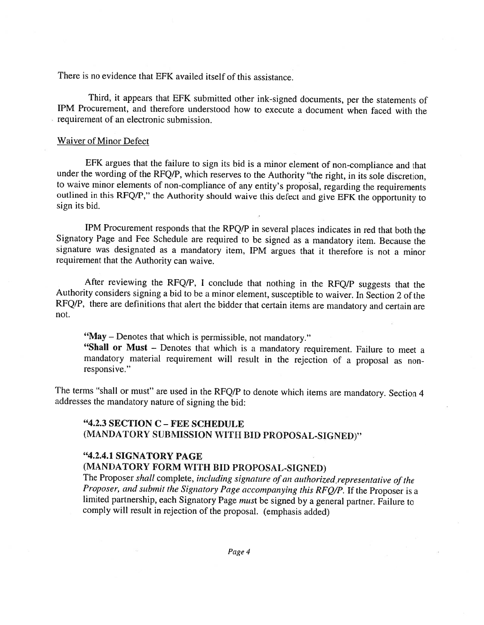There is no evidence that EFK availed itself of this assistance

Third, it appears that EFK submitted other ink-signed documents, per the statements of IPM Procurement, and therefore understood how to execute a document when faced with the requirement of an electronic submission.

#### **Waiver of Minor Defect**

EFK argues that the failure to sign its bid is a minor element of non-compliance and that under the wording of the RFQ/P, which reserves to the Authority "the right, in its sole discretion, to waive minor elements of non-compliance of any entity's proposal, regarding the requirements outlined in this RFQ/P," the Authority should waive this defect and give EFK the opportunity to sign its bid.

IPM Procurement responds that the RPQ/P in several places indicates in red that both the Signatory Page and Fee Schedule are required to be signed as a mandatory item. Because the signature was designated as a mandatory item, IPM argues that it therefore is not a minor requirement that the Authority can waive.

After reviewing the RFQ/P, I conclude that nothing in the RFQ/P suggests that the Authority considers signing a bid to be a minor element, susceptible to waiver. In Section 2 of the RFQ/P, there are definitions that alert the bidder that certain items are mandatory and certain are not.

"May - Denotes that which is permissible, not mandatory."

"Shall or Must - Denotes that which is a mandatory requirement. Failure to meet a mandatory material requirement will result in the rejection of a proposal as nonresponsive."

The terms "shall or must" are used in the RFQ/P to denote which items are mandatory. Section 4 addresses the mandatory nature of signing the bid:

## "4.2.3 SECTION C - FEE SCHEDULE (MANDATORY SUBMISSION WITH BID PROPOSAL-SIGNED)"

# "4.2.4.1 SIGNATORY PAGE

# (MANDATORY FORM WITH BID PROPOSAL-SIGNED)

The Proposer shall complete, including signature of an authorized representative of the Proposer, and submit the Signatory Page accompanying this RFQ/P. If the Proposer is a limited partnership, each Signatory Page must be signed by a general partner. Failure to comply will result in rejection of the proposal. (emphasis added)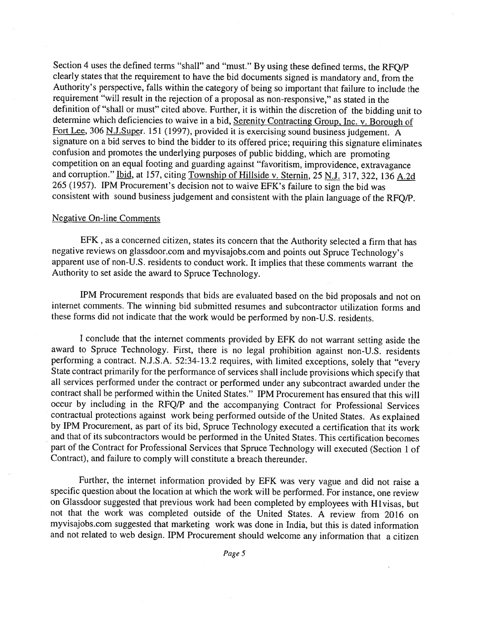Section 4 uses the defined terms "shall" and "must." By using these defined terms, the RFO/P clearly states that the requirement to have the bid documents signed is mandatory and, from the Authority's perspective, falls within the category of being so important that failure to include the requirement "will result in the rejection of a proposal as non-responsive," as stated in the definition of "shall or must" cited above. Further, it is within the discretion of the bidding unit to determine which deficiencies to waive in a bid, Serenity Contracting Group, Inc. v. Borough of Fort Lee, 306 N.J.Super. 151 (1997), provided it is exercising sound business judgement. A signature on a bid serves to bind the bidder to its offered price; requiring this signature eliminates confusion and promotes the underlying purposes of public bidding, which are promoting competition on an equal footing and guarding against "favoritism, improvidence, extravagance and corruption." Ibid, at 157, citing Township of Hillside v. Sternin, 25 N.J. 317, 322, 136 A.2d 265 (1957). IPM Procurement's decision not to waive EFK's failure to sign the bid was consistent with sound business judgement and consistent with the plain language of the RFO/P.

#### **Negative On-line Comments**

EFK, as a concerned citizen, states its concern that the Authority selected a firm that has negative reviews on glassdoor.com and myvisajobs.com and points out Spruce Technology's apparent use of non-U.S. residents to conduct work. It implies that these comments warrant the Authority to set aside the award to Spruce Technology.

IPM Procurement responds that bids are evaluated based on the bid proposals and not on internet comments. The winning bid submitted resumes and subcontractor utilization forms and these forms did not indicate that the work would be performed by non-U.S. residents.

I conclude that the internet comments provided by EFK do not warrant setting aside the award to Spruce Technology. First, there is no legal prohibition against non-U.S. residents performing a contract. N.J.S.A. 52:34-13.2 requires, with limited exceptions, solely that "every State contract primarily for the performance of services shall include provisions which specify that all services performed under the contract or performed under any subcontract awarded under the contract shall be performed within the United States." IPM Procurement has ensured that this will occur by including in the RFQ/P and the accompanying Contract for Professional Services contractual protections against work being performed outside of the United States. As explained by IPM Procurement, as part of its bid, Spruce Technology executed a certification that its work and that of its subcontractors would be performed in the United States. This certification becomes part of the Contract for Professional Services that Spruce Technology will executed (Section 1 of Contract), and failure to comply will constitute a breach thereunder.

Further, the internet information provided by EFK was very vague and did not raise a specific question about the location at which the work will be performed. For instance, one review on Glassdoor suggested that previous work had been completed by employees with H1visas, but not that the work was completed outside of the United States. A review from 2016 on myvisajobs.com suggested that marketing work was done in India, but this is dated information and not related to web design. IPM Procurement should welcome any information that a citizen